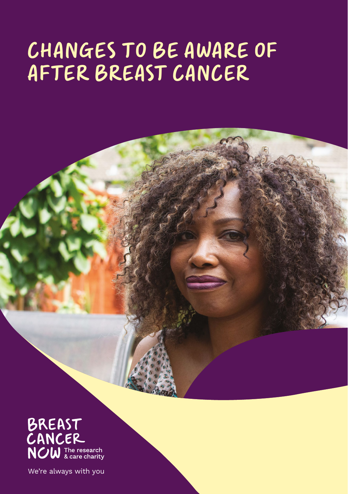### CHANGES TO BE AWARE OF AFTER BREAST CANCER

BREAST<br>CANCER **NOW** The research

We're always with you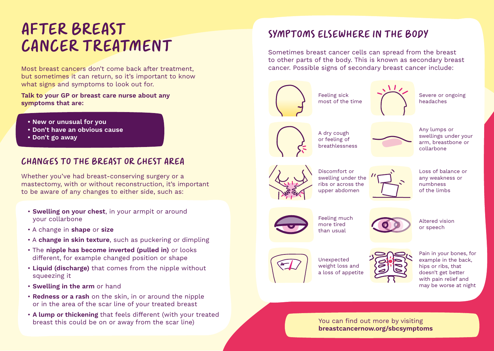# AFTER BREAST CANCER TREATMENT

Most breast cancers don't come back after treatment, but sometimes it can return, so it's important to know what signs and symptoms to look out for.

**Talk to your GP or breast care nurse about any symptoms that are:**

- **New or unusual for you**
- **Don't have an obvious cause**
- **Don't go away**

#### CHANGES TO THE BREAST OR CHEST AREA

Whether you've had breast-conserving surgery or a mastectomy, with or without reconstruction, it's important to be aware of any changes to either side, such as:

- **Swelling on your chest**, in your armpit or around your collarbone
- A change in **shape** or **size**
- A **change in skin texture**, such as puckering or dimpling
- The **nipple has become inverted (pulled in)** or looks different, for example changed position or shape
- **Liquid (discharge)** that comes from the nipple without squeezing it
- **Swelling in the arm** or hand
- **Redness or a rash** on the skin, in or around the nipple or in the area of the scar line of your treated breast
- **A lump or thickening** that feels different (with your treated breast this could be on or away from the scar line)

### SYMPTOMS ELSEWHERE IN THE BODY

Sometimes breast cancer cells can spread from the breast to other parts of the body. This is known as secondary breast cancer. Possible signs of secondary breast cancer include:





Feeling much more tired than usual



Altered vision or speech



Unexpected weight loss and a loss of appetite



Pain in your bones, for example in the back, hips or ribs, that doesn't get better with pain relief and may be worse at night

You can find out more by visiting **breastcancernow.org/sbcsymptoms**